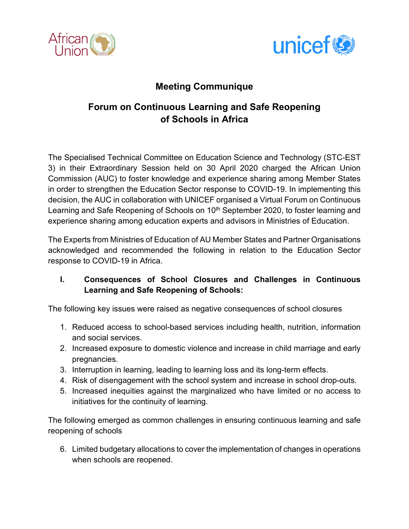



## **Meeting Communique**

# **Forum on Continuous Learning and Safe Reopening of Schools in Africa**

The Specialised Technical Committee on Education Science and Technology (STC-EST 3) in their Extraordinary Session held on 30 April 2020 charged the African Union Commission (AUC) to foster knowledge and experience sharing among Member States in order to strengthen the Education Sector response to COVID-19. In implementing this decision, the AUC in collaboration with UNICEF organised a Virtual Forum on Continuous Learning and Safe Reopening of Schools on 10<sup>th</sup> September 2020, to foster learning and experience sharing among education experts and advisors in Ministries of Education.

The Experts from Ministries of Education of AU Member States and Partner Organisations acknowledged and recommended the following in relation to the Education Sector response to COVID-19 in Africa.

## **I. Consequences of School Closures and Challenges in Continuous Learning and Safe Reopening of Schools:**

The following key issues were raised as negative consequences of school closures

- 1. Reduced access to school-based services including health, nutrition, information and social services.
- 2. Increased exposure to domestic violence and increase in child marriage and early pregnancies.
- 3. Interruption in learning, leading to learning loss and its long-term effects.
- 4. Risk of disengagement with the school system and increase in school drop-outs.
- 5. Increased inequities against the marginalized who have limited or no access to initiatives for the continuity of learning.

The following emerged as common challenges in ensuring continuous learning and safe reopening of schools

6. Limited budgetary allocations to cover the implementation of changes in operations when schools are reopened.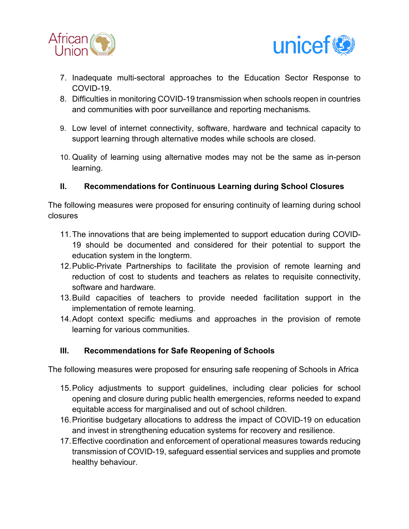



- 7. Inadequate multi-sectoral approaches to the Education Sector Response to COVID-19.
- 8. Difficulties in monitoring COVID-19 transmission when schools reopen in countries and communities with poor surveillance and reporting mechanisms.
- 9. Low level of internet connectivity, software, hardware and technical capacity to support learning through alternative modes while schools are closed.
- 10. Quality of learning using alternative modes may not be the same as in-person learning.

### **II. Recommendations for Continuous Learning during School Closures**

The following measures were proposed for ensuring continuity of learning during school closures

- 11.The innovations that are being implemented to support education during COVID-19 should be documented and considered for their potential to support the education system in the longterm.
- 12.Public-Private Partnerships to facilitate the provision of remote learning and reduction of cost to students and teachers as relates to requisite connectivity, software and hardware.
- 13.Build capacities of teachers to provide needed facilitation support in the implementation of remote learning.
- 14.Adopt context specific mediums and approaches in the provision of remote learning for various communities.

### **III. Recommendations for Safe Reopening of Schools**

The following measures were proposed for ensuring safe reopening of Schools in Africa

- 15.Policy adjustments to support guidelines, including clear policies for school opening and closure during public health emergencies, reforms needed to expand equitable access for marginalised and out of school children.
- 16.Prioritise budgetary allocations to address the impact of COVID-19 on education and invest in strengthening education systems for recovery and resilience.
- 17.Effective coordination and enforcement of operational measures towards reducing transmission of COVID-19, safeguard essential services and supplies and promote healthy behaviour.